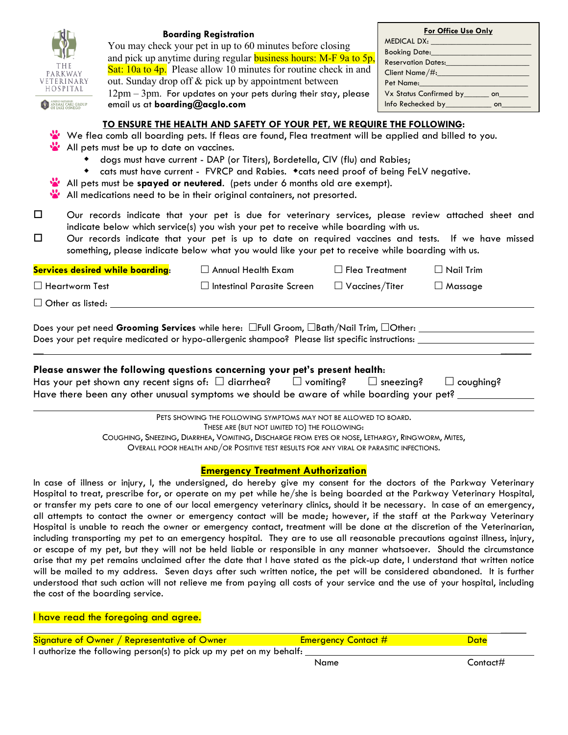| HOSPITAL<br>email us at boarding@acglo.com<br>A PROUD PARTNER OF<br>AN IMAL CARE GROUI | <b>Boarding Registration</b><br>You may check your pet in up to 60 minutes before closing<br>and pick up anytime during regular <b>business hours:</b> M-F 9a to 5p,<br>Sat: $10a$ to $4p$ . Please allow 10 minutes for routine check in and<br>out. Sunday drop off & pick up by appointment between<br>$12\text{pm} - 3\text{pm}$ . For updates on your pets during their stay, please<br>TO ENSURE THE HEALTH AND SAFETY OF YOUR PET, WE REQUIRE THE FOLLOWING:<br>We flea comb all boarding pets. If fleas are found, Flea treatment will be applied and billed to you. |                                    | For Office Use Only<br>Booking Date: <b>Example 2014</b><br>Reservation Dates: Network of the Marian Section 1997<br>Client Name/#:<br>Pet Name:<br>Vx Status Confirmed by ________ on_______<br>Info Rechecked by________________ on________ |
|----------------------------------------------------------------------------------------|------------------------------------------------------------------------------------------------------------------------------------------------------------------------------------------------------------------------------------------------------------------------------------------------------------------------------------------------------------------------------------------------------------------------------------------------------------------------------------------------------------------------------------------------------------------------------|------------------------------------|-----------------------------------------------------------------------------------------------------------------------------------------------------------------------------------------------------------------------------------------------|
| All pets must be up to date on vaccines.                                               | • dogs must have current - DAP (or Titers), Bordetella, CIV (flu) and Rabies;<br>• cats must have current - FVRCP and Rabies. • cats need proof of being FeLV negative.<br>All pets must be spayed or neutered. (pets under 6 months old are exempt).<br>All medications need to be in their original containers, not presorted.                                                                                                                                                                                                                                             |                                    |                                                                                                                                                                                                                                               |
| □<br>□                                                                                 | Our records indicate that your pet is due for veterinary services, please review attached sheet and<br>indicate below which service(s) you wish your pet to receive while boarding with us.<br>Our records indicate that your pet is up to date on required vaccines and tests. If we have missed<br>something, please indicate below what you would like your pet to receive while boarding with us.                                                                                                                                                                        |                                    |                                                                                                                                                                                                                                               |
| <b>Services desired while boarding:</b>                                                | $\Box$ Annual Health Exam                                                                                                                                                                                                                                                                                                                                                                                                                                                                                                                                                    | $\Box$ Flea Treatment              | $\Box$ Nail Trim                                                                                                                                                                                                                              |
| $\Box$ Heartworm Test                                                                  | $\Box$ Intestinal Parasite Screen                                                                                                                                                                                                                                                                                                                                                                                                                                                                                                                                            | $\Box$ <code>Vaccines/Titer</code> | $\Box$ Massage                                                                                                                                                                                                                                |
| $\Box$ Other as listed:                                                                |                                                                                                                                                                                                                                                                                                                                                                                                                                                                                                                                                                              |                                    |                                                                                                                                                                                                                                               |
|                                                                                        |                                                                                                                                                                                                                                                                                                                                                                                                                                                                                                                                                                              |                                    |                                                                                                                                                                                                                                               |

Does your pet need Grooming Services while here: □Full Groom, □Bath/Nail Trim, □Other: Does your pet require medicated or hypo-allergenic shampoo? Please list specific instructions:

 $\overline{\phantom{a}}$  , where the contract of the contract of the contract of the contract of the contract of the contract of the contract of the contract of the contract of the contract of the contract of the contract of the contr

## **Please answer the following questions concerning your pet's present health**:

| Has your pet shown any recent signs of: $\Box$ diarrhea?                                  | $\Box$ vomiting? | $\Box$ sneezing? $\Box$ coughing? |  |
|-------------------------------------------------------------------------------------------|------------------|-----------------------------------|--|
| Have there been any other unusual symptoms we should be aware of while boarding your pet? |                  |                                   |  |

PETS SHOWING THE FOLLOWING SYMPTOMS MAY NOT BE ALLOWED TO BOARD. THESE ARE (BUT NOT LIMITED TO) THE FOLLOWING: COUGHING, SNEEZING, DIARRHEA, VOMITING, DISCHARGE FROM EYES OR NOSE, LETHARGY, RINGWORM, MITES, OVERALL POOR HEALTH AND/OR POSITIVE TEST RESULTS FOR ANY VIRAL OR PARASITIC INFECTIONS.

## **Emergency Treatment Authorization**

In case of illness or injury, I, the undersigned, do hereby give my consent for the doctors of the Parkway Veterinary Hospital to treat, prescribe for, or operate on my pet while he/she is being boarded at the Parkway Veterinary Hospital, or transfer my pets care to one of our local emergency veterinary clinics, should it be necessary. In case of an emergency, all attempts to contact the owner or emergency contact will be made; however, if the staff at the Parkway Veterinary Hospital is unable to reach the owner or emergency contact, treatment will be done at the discretion of the Veterinarian, including transporting my pet to an emergency hospital. They are to use all reasonable precautions against illness, injury, or escape of my pet, but they will not be held liable or responsible in any manner whatsoever. Should the circumstance arise that my pet remains unclaimed after the date that I have stated as the pick-up date, I understand that written notice will be mailed to my address. Seven days after such written notice, the pet will be considered abandoned. It is further understood that such action will not relieve me from paying all costs of your service and the use of your hospital, including the cost of the boarding service.

I have read the foregoing and agree.

|                                                                     | Signature of Owner / Representative of Owner | <b>Emergency Contact #</b> | Date     |  |
|---------------------------------------------------------------------|----------------------------------------------|----------------------------|----------|--|
| I authorize the following person(s) to pick up my pet on my behalf: |                                              |                            |          |  |
|                                                                     |                                              | Name                       | Contact# |  |